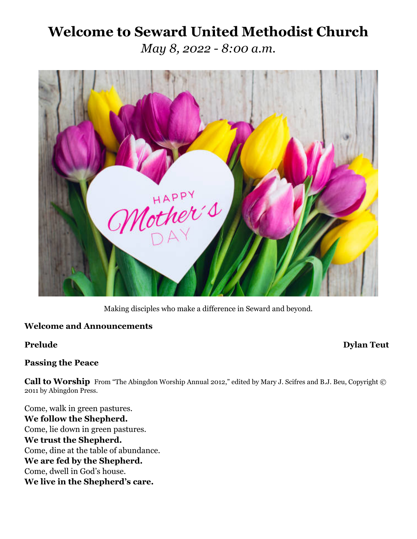# **Welcome to Seward United Methodist Church**

*May 8, 2022 - 8:00 a.m.*



Making disciples who make a difference in Seward and beyond.

# **Welcome and Announcements**

# **Prelude Dylan Teut**

# **Passing the Peace**

Call to Worship From "The Abingdon Worship Annual 2012," edited by Mary J. Scifres and B.J. Beu, Copyright © 2011 by Abingdon Press.

Come, walk in green pastures. **We follow the Shepherd.** Come, lie down in green pastures. **We trust the Shepherd.** Come, dine at the table of abundance. **We are fed by the Shepherd.** Come, dwell in God's house. **We live in the Shepherd's care.**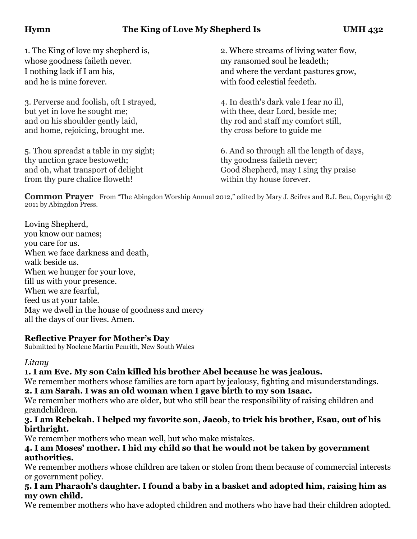whose goodness faileth never. my ransomed soul he leadeth: and he is mine forever. with food celestial feedeth.

3. Perverse and foolish, oft I strayed, 4. In death's dark vale I fear no ill, but yet in love he sought me; with thee, dear Lord, beside me; and on his shoulder gently laid, thy rod and staff my comfort still, and home, rejoicing, brought me. thy cross before to guide me

thy unction grace bestoweth; thy goodness faileth never; from thy pure chalice floweth! within thy house forever.

1. The King of love my shepherd is, 2. Where streams of living water flow, I nothing lack if I am his, and where the verdant pastures grow,

5. Thou spreadst a table in my sight; 6. And so through all the length of days, and oh, what transport of delight Good Shepherd, may I sing thy praise

**Common Prayer** From "The Abingdon Worship Annual 2012," edited by Mary J. Scifres and B.J. Beu, Copyright © 2011 by Abingdon Press.

Loving Shepherd, you know our names; you care for us. When we face darkness and death, walk beside us. When we hunger for your love, fill us with your presence. When we are fearful, feed us at your table. May we dwell in the house of goodness and mercy all the days of our lives. Amen.

# **Reflective Prayer for Mother's Day**

Submitted by Noelene Martin Penrith, New South Wales

# *Litany*

# **1. I am Eve. My son Cain killed his brother Abel because he was jealous.**

We remember mothers whose families are torn apart by jealousy, fighting and misunderstandings. **2. I am Sarah. I was an old woman when I gave birth to my son Isaac.**

We remember mothers who are older, but who still bear the responsibility of raising children and grandchildren.

# **3. I am Rebekah. I helped my favorite son, Jacob, to trick his brother, Esau, out of his birthright.**

We remember mothers who mean well, but who make mistakes.

# **4. I am Moses' mother. I hid my child so that he would not be taken by government authorities.**

We remember mothers whose children are taken or stolen from them because of commercial interests or government policy.

# **5. I am Pharaoh's daughter. I found a baby in a basket and adopted him, raising him as my own child.**

We remember mothers who have adopted children and mothers who have had their children adopted.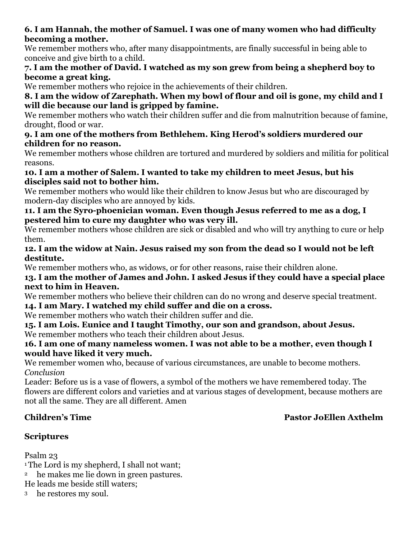# **6. I am Hannah, the mother of Samuel. I was one of many women who had difficulty becoming a mother.**

We remember mothers who, after many disappointments, are finally successful in being able to conceive and give birth to a child.

# **7. I am the mother of David. I watched as my son grew from being a shepherd boy to become a great king.**

We remember mothers who rejoice in the achievements of their children.

# **8. I am the widow of Zarephath. When my bowl of flour and oil is gone, my child and I will die because our land is gripped by famine.**

We remember mothers who watch their children suffer and die from malnutrition because of famine, drought, flood or war.

# **9. I am one of the mothers from Bethlehem. King Herod's soldiers murdered our children for no reason.**

We remember mothers whose children are tortured and murdered by soldiers and militia for political reasons.

# **10. I am a mother of Salem. I wanted to take my children to meet Jesus, but his disciples said not to bother him.**

We remember mothers who would like their children to know Jesus but who are discouraged by modern-day disciples who are annoyed by kids.

# **11. I am the Syro-phoenician woman. Even though Jesus referred to me as a dog, I pestered him to cure my daughter who was very ill.**

We remember mothers whose children are sick or disabled and who will try anything to cure or help them.

# **12. I am the widow at Nain. Jesus raised my son from the dead so I would not be left destitute.**

We remember mothers who, as widows, or for other reasons, raise their children alone.

# **13. I am the mother of James and John. I asked Jesus if they could have a special place next to him in Heaven.**

We remember mothers who believe their children can do no wrong and deserve special treatment.

# **14. I am Mary. I watched my child suffer and die on a cross.**

We remember mothers who watch their children suffer and die.

**15. I am Lois. Eunice and I taught Timothy, our son and grandson, about Jesus.** We remember mothers who teach their children about Jesus.

# **16. I am one of many nameless women. I was not able to be a mother, even though I would have liked it very much.**

We remember women who, because of various circumstances, are unable to become mothers. *Conclusion*

Leader: Before us is a vase of flowers, a symbol of the mothers we have remembered today. The flowers are different colors and varieties and at various stages of development, because mothers are not all the same. They are all different. Amen

# **Children's Time Pastor JoEllen Axthelm**

# **Scriptures**

Psalm 23

<sup>1</sup>The Lord is my shepherd, I shall not want:

<sup>2</sup> he makes me lie down in green pastures.

He leads me beside still waters;

<sup>3</sup> he restores my soul.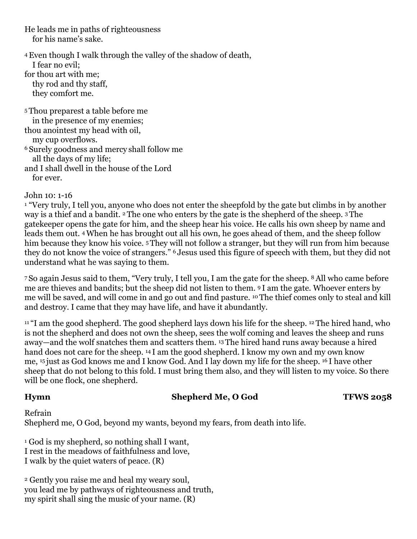He leads me in paths of righteousness for his name's sake.

4Even though I walk through the valley of the shadow of death, I fear no evil; for thou art with me; thy rod and thy staff, they comfort me. <sup>5</sup> Thou preparest a table before me in the presence of my enemies; thou anointest my head with oil, my cup overflows. <sup>6</sup> Surely goodness and mercy shall follow me all the days of my life;

and I shall dwell in the house of the Lord for ever.

John 10: 1-16

<sup>1</sup> "Very truly, I tell you, anyone who does not enter the sheepfold by the gate but climbs in by another way is a thief and a bandit. <sup>2</sup> The one who enters by the gate is the shepherd of the sheep. <sup>3</sup> The gatekeeper opens the gate for him, and the sheep hear his voice. He calls his own sheep by name and leads them out. 4When he has brought out all his own, he goes ahead of them, and the sheep follow him because they know his voice. <sup>5</sup>They will not follow a stranger, but they will run from him because they do not know the voice of strangers." <sup>6</sup> Jesus used this figure of speech with them, but they did not understand what he was saying to them.

<sup>7</sup> So again Jesus said to them, "Very truly, I tell you, I am the gate for the sheep. 8All who came before me are thieves and bandits; but the sheep did not listen to them. <sup>9</sup> I am the gate. Whoever enters by me will be saved, and will come in and go out and find pasture. <sup>10</sup> The thief comes only to steal and kill and destroy. I came that they may have life, and have it abundantly.

<sup>11</sup> "I am the good shepherd. The good shepherd lays down his life for the sheep. <sup>12</sup> The hired hand, who is not the shepherd and does not own the sheep, sees the wolf coming and leaves the sheep and runs away—and the wolf snatches them and scatters them. <sup>13</sup> The hired hand runs away because a hired hand does not care for the sheep. <sup>14</sup> I am the good shepherd. I know my own and my own know me, <sup>15</sup> just as God knows me and I know God. And I lay down my life for the sheep. <sup>16</sup> I have other sheep that do not belong to this fold. I must bring them also, and they will listen to my voice. So there will be one flock, one shepherd.

### **Hymn** Shepherd Me, O God **TFWS 2058**

Refrain Shepherd me, O God, beyond my wants, beyond my fears, from death into life.

1 God is my shepherd, so nothing shall I want, I rest in the meadows of faithfulness and love, I walk by the quiet waters of peace. (R)

2 Gently you raise me and heal my weary soul, you lead me by pathways of righteousness and truth, my spirit shall sing the music of your name. (R)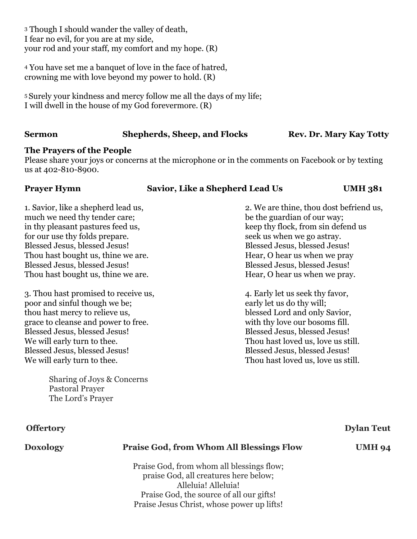3 Though I should wander the valley of death, I fear no evil, for you are at my side, your rod and your staff, my comfort and my hope. (R)

4 You have set me a banquet of love in the face of hatred, crowning me with love beyond my power to hold. (R)

5 Surely your kindness and mercy follow me all the days of my life; I will dwell in the house of my God forevermore. (R)

# **Sermon Shepherds, Sheep, and Flocks** Rev. Dr. Mary Kay Totty

# **The Prayers of the People**

Please share your joys or concerns at the microphone or in the comments on Facebook or by texting us at 402-810-8900.

### **Prayer Hymn Savior, Like a Shepherd Lead Us UMH 381**

1. Savior, like a shepherd lead us, 2. We are thine, thou dost befriend us, much we need thy tender care; be the guardian of our way; in thy pleasant pastures feed us, keep thy flock, from sin defend us for our use thy folds prepare. Seek us when we go astray. Blessed Jesus, blessed Jesus! Blessed Jesus, blessed Jesus! Thou hast bought us, thine we are. Hear, O hear us when we pray Blessed Jesus, blessed Jesus! Blessed Jesus, blessed Jesus, blessed Jesus! Thou hast bought us, thine we are. Hear, O hear us when we pray.

3. Thou hast promised to receive us,  $\frac{4}{100}$ , Early let us seek thy favor, poor and sinful though we be; early let us do thy will; thou hast mercy to relieve us, blessed Lord and only Savior, grace to cleanse and power to free. with thy love our bosoms fill. Blessed Jesus, blessed Jesus! Blessed Jesus, blessed Jesus! We will early turn to thee. Thou hast loved us, love us still. Blessed Jesus, blessed Jesus! Blessed Jesus, blessed Jesus, blessed Jesus! We will early turn to thee. Thou hast loved us, love us still.

Sharing of Joys & Concerns Pastoral Prayer The Lord's Prayer

# **Offertory Dylan Teut**

# **Doxology Praise God, from Whom All Blessings Flow UMH 94**

Praise God, from whom all blessings flow; praise God, all creatures here below; Alleluia! Alleluia! Praise God, the source of all our gifts! Praise Jesus Christ, whose power up lifts!